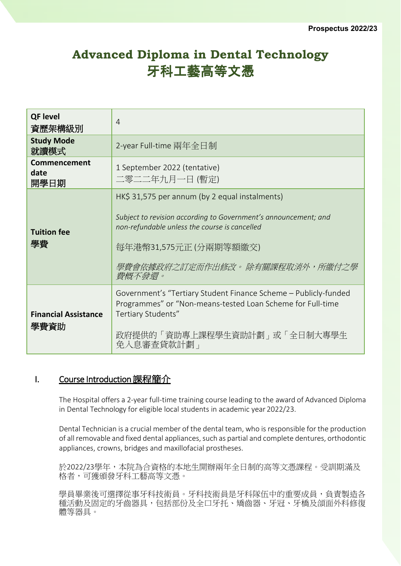# **Advanced Diploma in Dental Technology** 牙科工藝高等文憑

| <b>QF level</b><br>資歷架構級別           | $\overline{4}$                                                                                                                                                                                                                          |
|-------------------------------------|-----------------------------------------------------------------------------------------------------------------------------------------------------------------------------------------------------------------------------------------|
| <b>Study Mode</b><br>就讀模式           | 2-year Full-time 兩年全日制                                                                                                                                                                                                                  |
| Commencement<br>date<br>開學日期        | 1 September 2022 (tentative)<br>二零二二年九月一日 (暫定)                                                                                                                                                                                          |
| <b>Tuition fee</b><br>學費            | HK\$ 31,575 per annum (by 2 equal instalments)<br>Subject to revision according to Government's announcement; and<br>non-refundable unless the course is cancelled<br>每年港幣31,575元正(分兩期等額繳交)<br>學費會依據政府之訂定而作出修改。除有關課程取消外,所繳付之學<br>費概不發還。 |
| <b>Financial Assistance</b><br>學費資助 | Government's "Tertiary Student Finance Scheme - Publicly-funded<br>Programmes" or "Non-means-tested Loan Scheme for Full-time<br>Tertiary Students"<br>政府提供的「資助專上課程學生資助計劃」或「全日制大專學生<br>免入息審查貸款計劃」                                       |

## I. Course Introduction 課程簡介

The Hospital offers a 2-year full-time training course leading to the award of Advanced Diploma in Dental Technology for eligible local students in academic year 2022/23.

Dental Technician is a crucial member of the dental team, who is responsible for the production of all removable and fixed dental appliances, such as partial and complete dentures, orthodontic appliances, crowns, bridges and maxillofacial prostheses.

於2022/23學年,本院為合資格的本地生開辦兩年全日制的高等文憑課程。受訓期滿及 格者,可獲頒發牙科工藝高等文憑。

學員畢業後可選擇從事牙科技術員。牙科技術員是牙科隊伍中的重要成員,負責製造各 種活動及固定的牙齒器具,包括部份及全口牙托、矯齒器、牙冠、牙橋及頜面外科修復 體等器具。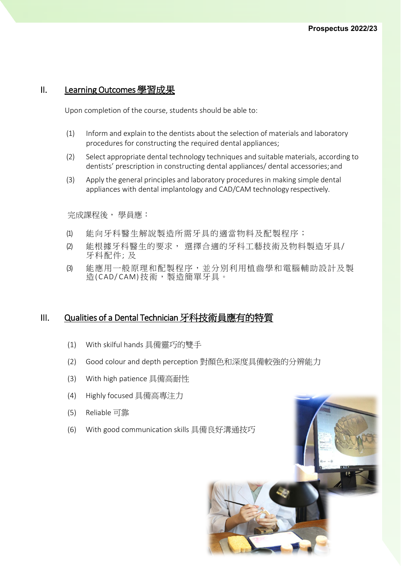### II. Learning Outcomes 學習成果

Upon completion of the course, students should be able to:

- (1) Inform and explain to the dentists about the selection of materials and laboratory procedures for constructing the required dental appliances;
- (2) Select appropriate dental technology techniques and suitable materials, according to dentists' prescription in constructing dental appliances/ dental accessories;and
- (3) Apply the general principles and laboratory procedures in making simple dental appliances with dental implantology and CAD/CAM technology respectively.

完成課程後, 學員應:

- (1) 能向牙科醫生解說製造所需牙具的適當物料及配製程序;
- (2) 能根據牙科醫生的要求, 選擇合適的牙科工藝技術及物料製造牙具/ 牙科配件; 及
- (3) 能應用一般原理和配製程序,並分別利用植齒學和電腦輔助設計及製 造(CAD/CAM)技術,製造簡單牙具。

### III. Qualities of a Dental Technician 牙科技術員應有的特質

- (1) With skilful hands 具備靈巧的雙手
- (2) Good colour and depth perception 對顏色和深度具備較強的分辨能力
- (3) With high patience 具備高耐性
- (4) Highly focused 具備高專注力
- (5) Reliable 可靠
- (6) With good communication skills 具備良好溝通技巧

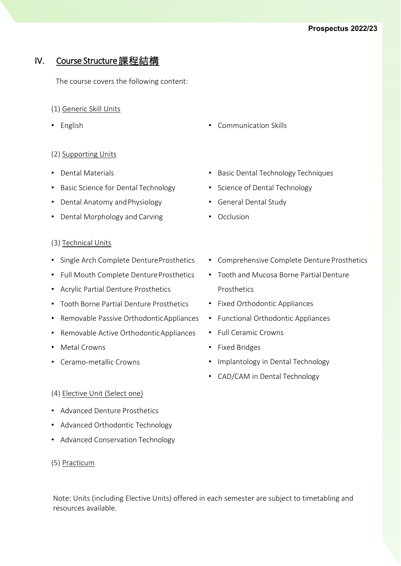# IV. Course Structure 課程結構

The course covers the following content:

- (1) Generic Skill Units
- 

### (2) Supporting Units

- Dental Materials
- Basic Science for Dental Technology
- Dental Anatomy andPhysiology
- Dental Morphology and Carving

#### (3) Technical Units

- Single Arch Complete DentureProsthetics
- Full Mouth Complete Denture Prosthetics
- Acrylic Partial Denture Prosthetics
- Tooth Borne Partial Denture Prosthetics
- Removable Passive OrthodonticAppliances
- Removable Active OrthodonticAppliances
- Metal Crowns
- Ceramo-metallic Crowns
- English Communication Skills
	- Basic Dental Technology Techniques
	- Science of Dental Technology
	- General Dental Study
	- Occlusion
	- Comprehensive Complete Denture Prosthetics
	- Tooth and Mucosa Borne Partial Denture Prosthetics
	- Fixed Orthodontic Appliances
	- Functional Orthodontic Appliances
	- Full Ceramic Crowns
	- Fixed Bridges
	- Implantology in Dental Technology
	- CAD/CAM in Dental Technology

#### (4) Elective Unit (Select one)

- Advanced Denture Prosthetics
- Advanced Orthodontic Technology
- Advanced Conservation Technology

#### (5) Practicum

Note: Units (including Elective Units) offered in each semester are subject to timetabling and resources available.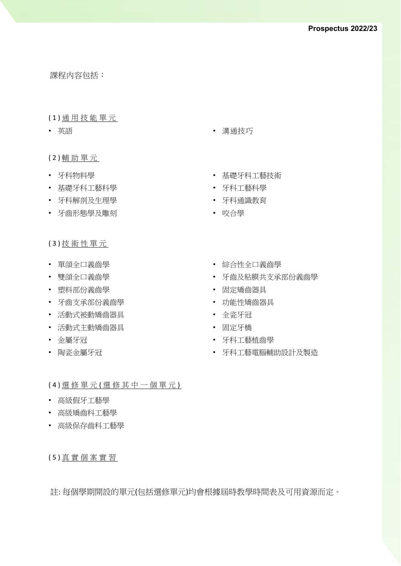課程内容包括:

#### ( 1 ) 通 用 技 能 單 元

#### ( 2 ) 輔 助 單 元

- 牙科物料學
- 基礎牙科工藝科學
- 牙科解剖及生理學
- 牙齒形態學及雕刻

( 3 ) 技 術 性 單 元

- 單頜全口義齒學
- 雙頜全口義齒學
- 塑料部份義齒學
- 牙齒支承部份義齒學
- 活動式被動矯齒器具
- 活動式主動矯齒器具
- 金屬牙冠
- 陶瓷金屬牙冠
- 英語 溝通技巧
	- 基礎牙科工藝技術
	- 牙科工藝科學
	- 牙科通識教育
	- 咬合學
	- 綜合性全口義齒學
	- 牙齒及粘膜共支承部份義齒學
	- 固定矯齒器具
	- 功能性矯齒器具
	- 全瓷牙冠
	- 固定牙橋
	- 牙科工藝植齒學
	- 牙科工藝電腦輔助設計及製造

(4) 選 修 單 元 (選 修 其 中 一 個 單 元)

- 高級假牙工藝學
- 高級矯齒科工藝學
- 高級保存齒科工藝學

( 5 ) 真 實 個 案 實 習

註: 每個學期開設的單元(包括選修單元)均會根據屆時教學時間表及可用資源而定。